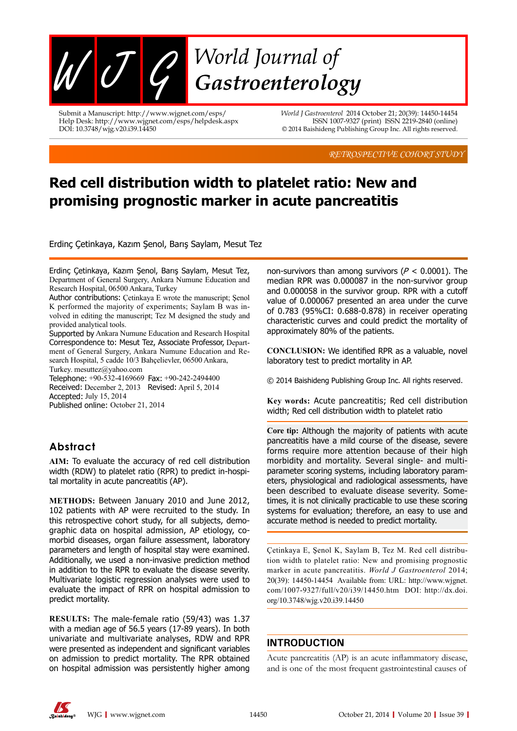

Submit a Manuscript: http://www.wjgnet.com/esps/ Help Desk: http://www.wjgnet.com/esps/helpdesk.aspx DOI: 10.3748/wjg.v20.i39.14450

*World J Gastroenterol* 2014 October 21; 20(39): 14450-14454 ISSN 1007-9327 (print) ISSN 2219-2840 (online) © 2014 Baishideng Publishing Group Inc. All rights reserved.

*RETROSPECTIVE COHORT STUDY*

# **Red cell distribution width to platelet ratio: New and promising prognostic marker in acute pancreatitis**

Erdinç Çetinkaya, Kazım Şenol, Barış Saylam, Mesut Tez

Erdinç Çetinkaya, Kazım Şenol, Barış Saylam, Mesut Tez, Department of General Surgery, Ankara Numune Education and Research Hospital, 06500 Ankara, Turkey

Author contributions: Çetinkaya E wrote the manuscript; Şenol K performed the majority of experiments; Saylam B was involved in editing the manuscript; Tez M designed the study and provided analytical tools.

Supported by Ankara Numune Education and Research Hospital Correspondence to: Mesut Tez, Associate Professor, Department of General Surgery, Ankara Numune Education and Research Hospital, 5 cadde 10/3 Bahçelievler, 06500 Ankara,

Turkey. mesuttez@yahoo.com

Telephone: +90-532-4169669 Fax: +90-242-2494400 Received: December 2, 2013 Revised: April 5, 2014 Accepted: July 15, 2014 Published online: October 21, 2014

# **Abstract**

**AIM:** To evaluate the accuracy of red cell distribution width (RDW) to platelet ratio (RPR) to predict in-hospital mortality in acute pancreatitis (AP).

**METHODS:** Between January 2010 and June 2012, 102 patients with AP were recruited to the study. In this retrospective cohort study, for all subjects, demographic data on hospital admission, AP etiology, comorbid diseases, organ failure assessment, laboratory parameters and length of hospital stay were examined. Additionally, we used a non-invasive prediction method in addition to the RPR to evaluate the disease severity. Multivariate logistic regression analyses were used to evaluate the impact of RPR on hospital admission to predict mortality.

**RESULTS:** The male-female ratio (59/43) was 1.37 with a median age of 56.5 years (17-89 years). In both univariate and multivariate analyses, RDW and RPR were presented as independent and significant variables on admission to predict mortality. The RPR obtained on hospital admission was persistently higher among

non-survivors than among survivors ( $P < 0.0001$ ). The median RPR was 0.000087 in the non-survivor group and 0.000058 in the survivor group. RPR with a cutoff value of 0.000067 presented an area under the curve of 0.783 (95%CI: 0.688-0.878) in receiver operating characteristic curves and could predict the mortality of approximately 80% of the patients.

**CONCLUSION:** We identified RPR as a valuable, novel laboratory test to predict mortality in AP.

© 2014 Baishideng Publishing Group Inc. All rights reserved.

**Key words:** Acute pancreatitis; Red cell distribution width; Red cell distribution width to platelet ratio

**Core tip:** Although the majority of patients with acute pancreatitis have a mild course of the disease, severe forms require more attention because of their high morbidity and mortality. Several single- and multiparameter scoring systems, including laboratory parameters, physiological and radiological assessments, have been described to evaluate disease severity. Sometimes, it is not clinically practicable to use these scoring systems for evaluation; therefore, an easy to use and accurate method is needed to predict mortality.

Çetinkaya E, Şenol K, Saylam B, Tez M. Red cell distribution width to platelet ratio: New and promising prognostic marker in acute pancreatitis. *World J Gastroenterol* 2014; 20(39): 14450-14454 Available from: URL: http://www.wjgnet. com/1007-9327/full/v20/i39/14450.htm DOI: http://dx.doi. org/10.3748/wjg.v20.i39.14450

# **INTRODUCTION**

Acute pancreatitis (AP) is an acute inflammatory disease, and is one of the most frequent gastrointestinal causes of

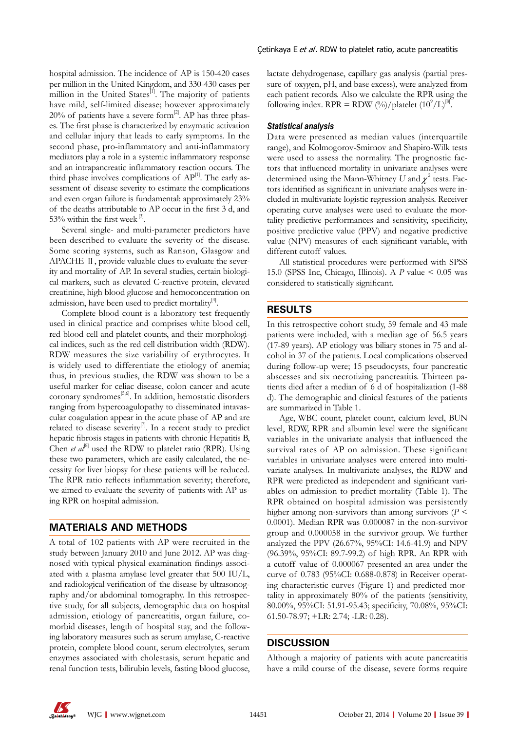hospital admission. The incidence of AP is 150-420 cases per million in the United Kingdom, and 330-430 cases per million in the United States $^{[1]}$ . The majority of patients have mild, self-limited disease; however approximately  $20\%$  of patients have a severe form<sup>[2]</sup>. AP has three phases. The first phase is characterized by enzymatic activation and cellular injury that leads to early symptoms. In the second phase, pro-inflammatory and anti-inflammatory mediators play a role in a systemic inflammatory response and an intrapancreatic inflammatory reaction occurs. The third phase involves complications of  $AP<sup>[1]</sup>$ . The early assessment of disease severity to estimate the complications and even organ failure is fundamental: approximately 23% of the deaths attributable to AP occur in the first 3 d, and 53% within the first week  $^{[3]}$ .

Several single- and multi-parameter predictors have been described to evaluate the severity of the disease. Some scoring systems, such as Ranson, Glasgow and APACHE  $\text{II}$ , provide valuable clues to evaluate the severity and mortality of AP. In several studies, certain biological markers, such as elevated C-reactive protein, elevated creatinine, high blood glucose and hemoconcentration on admission, have been used to predict mortality $|4|$ .

Complete blood count is a laboratory test frequently used in clinical practice and comprises white blood cell, red blood cell and platelet counts, and their morphological indices, such as the red cell distribution width (RDW). RDW measures the size variability of erythrocytes. It is widely used to differentiate the etiology of anemia; thus, in previous studies, the RDW was shown to be a useful marker for celiac disease, colon cancer and acute coronary syndromes<sup>[5,6]</sup>. In addition, hemostatic disorders ranging from hypercoagulopathy to disseminated intavascular coagulation appear in the acute phase of AP and are related to disease severity $[7]$ . In a recent study to predict hepatic fibrosis stages in patients with chronic Hepatitis B, Chen *et al*<sup>8]</sup> used the RDW to platelet ratio (RPR). Using these two parameters, which are easily calculated, the necessity for liver biopsy for these patients will be reduced. The RPR ratio reflects inflammation severity; therefore, we aimed to evaluate the severity of patients with AP using RPR on hospital admission.

# **MATERIALS AND METHODS**

A total of 102 patients with AP were recruited in the study between January 2010 and June 2012. AP was diagnosed with typical physical examination findings associated with a plasma amylase level greater that 500 IU/L, and radiological verification of the disease by ultrasonography and/or abdominal tomography. In this retrospective study, for all subjects, demographic data on hospital admission, etiology of pancreatitis, organ failure, comorbid diseases, length of hospital stay, and the following laboratory measures such as serum amylase, C-reactive protein, complete blood count, serum electrolytes, serum enzymes associated with cholestasis, serum hepatic and renal function tests, bilirubin levels, fasting blood glucose, lactate dehydrogenase, capillary gas analysis (partial pressure of oxygen, pH, and base excess), were analyzed from each patient records. Also we calculate the RPR using the following index. RPR = RDW  $\frac{\frac{9}{2}}{\frac{9}{2}}$  (%)/platelet  $\frac{10^9}{L}\frac{\text{m}}{\text{s}}$ .

# *Statistical analysis*

Data were presented as median values (interquartile range), and Kolmogorov-Smirnov and Shapiro-Wilk tests were used to assess the normality. The prognostic factors that influenced mortality in univariate analyses were determined using the Mann-Whitney *U* and  $\chi^2$  tests. Factors identified as significant in univariate analyses were included in multivariate logistic regression analysis. Receiver operating curve analyses were used to evaluate the mortality predictive performances and sensitivity, specificity, positive predictive value (PPV) and negative predictive value (NPV) measures of each significant variable, with different cutoff values.

All statistical procedures were performed with SPSS 15.0 (SPSS Inc, Chicago, Illinois). A *P* value < 0.05 was considered to statistically significant.

# **RESULTS**

In this retrospective cohort study, 59 female and 43 male patients were included, with a median age of 56.5 years (17-89 years). AP etiology was biliary stones in 75 and alcohol in 37 of the patients. Local complications observed during follow-up were; 15 pseudocysts, four pancreatic abscesses and six necrotizing pancreatitis. Thirteen patients died after a median of 6 d of hospitalization (1-88 d). The demographic and clinical features of the patients are summarized in Table 1.

Age, WBC count, platelet count, calcium level, BUN level, RDW, RPR and albumin level were the significant variables in the univariate analysis that influenced the survival rates of AP on admission. These significant variables in univariate analyses were entered into multivariate analyses. In multivariate analyses, the RDW and RPR were predicted as independent and significant variables on admission to predict mortality (Table 1). The RPR obtained on hospital admission was persistently higher among non-survivors than among survivors (*P* < 0.0001). Median RPR was 0.000087 in the non-survivor group and 0.000058 in the survivor group. We further analyzed the PPV (26.67%, 95%CI: 14.6-41.9) and NPV (96.39%, 95%CI: 89.7-99.2) of high RPR. An RPR with a cutoff value of 0.000067 presented an area under the curve of 0.783 (95%CI: 0.688-0.878) in Receiver operating characteristic curves (Figure 1) and predicted mortality in approximately 80% of the patients (sensitivity, 80.00%, 95%CI: 51.91-95.43; specificity, 70.08%, 95%CI: 61.50-78.97; +LR: 2.74; -LR: 0.28).

# **DISCUSSION**

Although a majority of patients with acute pancreatitis have a mild course of the disease, severe forms require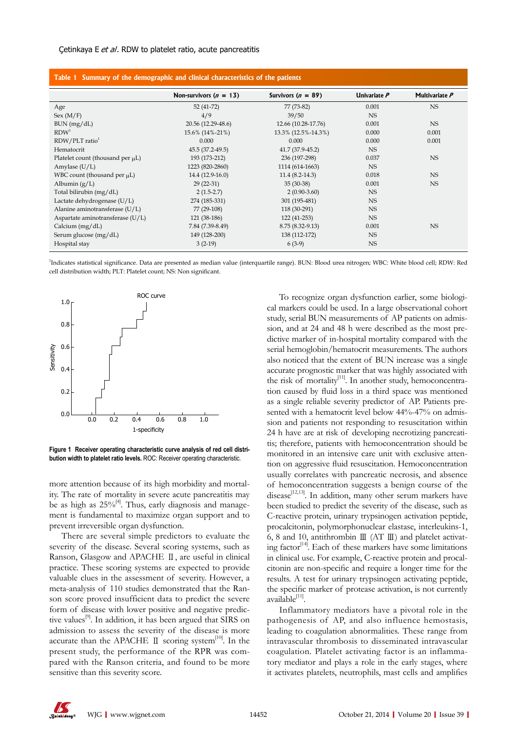| Table 1 Summary of the demographic and clinical characteristics of the patients |                            |                        |              |                |
|---------------------------------------------------------------------------------|----------------------------|------------------------|--------------|----------------|
|                                                                                 | Non-survivors ( $n = 13$ ) | Survivors ( $n = 89$ ) | Univariate P | Multivariate P |
| Age                                                                             | $52(41-72)$                | 77 (73-82)             | 0.001        | <b>NS</b>      |
| Sex (M/F)                                                                       | 4/9                        | 39/50                  | <b>NS</b>    |                |
| BUN (mg/dL)                                                                     | 20.56 (12.29-48.6)         | 12.66 (10.28-17.76)    | 0.001        | <b>NS</b>      |
| $RDW^1$                                                                         | 15.6% (14%-21%)            | 13.3% (12.5%-14.3%)    | 0.000        | 0.001          |
| $RDW/PLT$ ratio <sup>1</sup>                                                    | 0.000                      | 0.000                  | 0.000        | 0.001          |
| Hematocrit                                                                      | 45.5 (37.2-49.5)           | 41.7 (37.9-45.2)       | <b>NS</b>    |                |
| Platelet count (thousand per $\mu$ L)                                           | 193 (173-212)              | 236 (197-298)          | 0.037        | <b>NS</b>      |
| Amylase $(U/L)$                                                                 | 1223 (820-2860)            | 1114 (614-1663)        | <b>NS</b>    |                |
| WBC count (thousand per $\mu L$ )                                               | $14.4(12.9-16.0)$          | $11.4(8.2-14.3)$       | 0.018        | <b>NS</b>      |
| Albumin $(g/L)$                                                                 | $29(22-31)$                | $35(30-38)$            | 0.001        | <b>NS</b>      |
| Total bilirubin (mg/dL)                                                         | $2(1.5-2.7)$               | $2(0.90-3.60)$         | <b>NS</b>    |                |
| Lactate dehydrogenase (U/L)                                                     | 274 (185-331)              | 301 (195-481)          | NS           |                |
| Alanine aminotransferase (U/L)                                                  | 77 (29-108)                | 118 (30-291)           | <b>NS</b>    |                |
| Aspartate aminotransferase (U/L)                                                | 121 (38-186)               | 122 (41-253)           | <b>NS</b>    |                |
| Calcium $(mg/dL)$                                                               | 7.84 (7.39-8.49)           | $8.75(8.32-9.13)$      | 0.001        | <b>NS</b>      |
| Serum glucose (mg/dL)                                                           | 149 (128-200)              | 138 (112-172)          | <b>NS</b>    |                |
| Hospital stay                                                                   | $3(2-19)$                  | $6(3-9)$               | <b>NS</b>    |                |

<sup>1</sup>Indicates statistical significance. Data are presented as median value (interquartile range). BUN: Blood urea nitrogen; WBC: White blood cell; RDW: Red cell distribution width; PLT: Platelet count; NS: Non significant.



**Figure 1 Receiver operating characteristic curve analysis of red cell distribution width to platelet ratio levels.** ROC: Receiver operating characteristic.

more attention because of its high morbidity and mortality. The rate of mortality in severe acute pancreatitis may be as high as  $25\%^{4}$ . Thus, early diagnosis and management is fundamental to maximize organ support and to prevent irreversible organ dysfunction.

There are several simple predictors to evaluate the severity of the disease. Several scoring systems, such as Ranson, Glasgow and APACHE Ⅱ, are useful in clinical practice. These scoring systems are expected to provide valuable clues in the assessment of severity. However, a meta-analysis of 110 studies demonstrated that the Ranson score proved insufficient data to predict the severe form of disease with lower positive and negative predictive values<sup>[9]</sup>. In addition, it has been argued that SIRS on admission to assess the severity of the disease is more accurate than the APACHE  $\text{II}$  scoring system<sup>[10]</sup>. In the present study, the performance of the RPR was compared with the Ranson criteria, and found to be more sensitive than this severity score.

To recognize organ dysfunction earlier, some biological markers could be used. In a large observational cohort study, serial BUN measurements of AP patients on admission, and at 24 and 48 h were described as the most predictive marker of in-hospital mortality compared with the serial hemoglobin/hematocrit measurements. The authors also noticed that the extent of BUN increase was a single accurate prognostic marker that was highly associated with the risk of mortality<sup>[11]</sup>. In another study, hemoconcentration caused by fluid loss in a third space was mentioned as a single reliable severity predictor of AP. Patients presented with a hematocrit level below 44%-47% on admission and patients not responding to resuscitation within 24 h have are at risk of developing necrotizing pancreatitis; therefore, patients with hemoconcentration should be monitored in an intensive care unit with exclusive attention on aggressive fluid resuscitation. Hemoconcentration usually correlates with pancreatic necrosis, and absence of hemoconcentration suggests a benign course of the disease<sup>[12,13]</sup>. In addition, many other serum markers have been studied to predict the severity of the disease, such as C-reactive protein, urinary trypsinogen activation peptide, procalcitonin, polymorphonuclear elastase, interleukins-1, 6, 8 and 10, antithrombin Ⅲ (AT Ⅲ) and platelet activating factor<sup>[14]</sup>. Each of these markers have some limitations in clinical use. For example, C-reactive protein and procalcitonin are non-specific and require a longer time for the results. A test for urinary trypsinogen activating peptide, the specific marker of protease activation, is not currently available[11].

Inflammatory mediators have a pivotal role in the pathogenesis of AP, and also influence hemostasis, leading to coagulation abnormalities. These range from intravascular thrombosis to disseminated intravascular coagulation. Platelet activating factor is an inflammatory mediator and plays a role in the early stages, where it activates platelets, neutrophils, mast cells and amplifies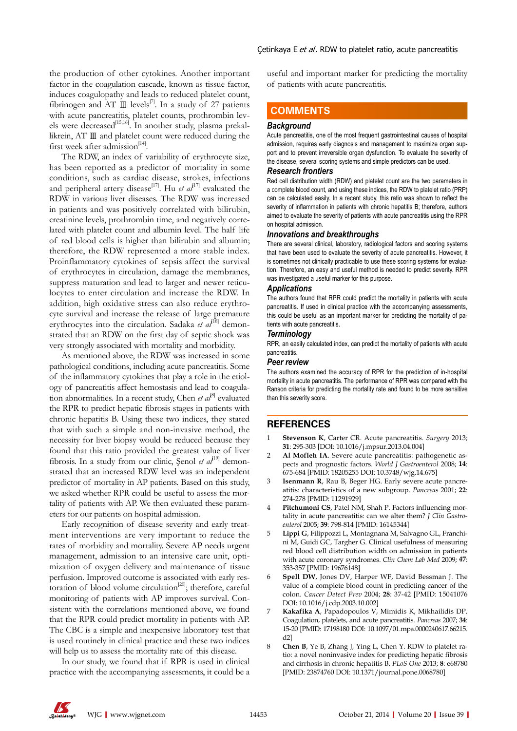the production of other cytokines. Another important factor in the coagulation cascade, known as tissue factor, induces coagulopathy and leads to reduced platelet count, fibrinogen and AT  $\mathbb{II}$  levels<sup>[7]</sup>. In a study of 27 patients with acute pancreatitis, platelet counts, prothrombin levels were decreased $^{[15,16]}$ . In another study, plasma prekallikrein, AT Ⅲ and platelet count were reduced during the first week after admission $^{[14]}$ .

The RDW, an index of variability of erythrocyte size, has been reported as a predictor of mortality in some conditions, such as cardiac disease, strokes, infections and peripheral artery disease<sup>[17]</sup>. Hu *et al*<sup>[17]</sup> evaluated the RDW in various liver diseases. The RDW was increased in patients and was positively correlated with bilirubin, creatinine levels, prothrombin time, and negatively correlated with platelet count and albumin level. The half life of red blood cells is higher than bilirubin and albumin; therefore, the RDW represented a more stable index. Proinflammatory cytokines of sepsis affect the survival of erythrocytes in circulation, damage the membranes, suppress maturation and lead to larger and newer reticulocytes to enter circulation and increase the RDW. In addition, high oxidative stress can also reduce erythrocyte survival and increase the release of large premature erythrocytes into the circulation. Sadaka *et al*<sup>[18]</sup> demonstrated that an RDW on the first day of septic shock was very strongly associated with mortality and morbidity.

As mentioned above, the RDW was increased in some pathological conditions, including acute pancreatitis. Some of the inflammatory cytokines that play a role in the etiology of pancreatitis affect hemostasis and lead to coagulation abnormalities. In a recent study, Chen *et al*<sup>81</sup> evaluated the RPR to predict hepatic fibrosis stages in patients with chronic hepatitis B. Using these two indices, they stated that with such a simple and non-invasive method, the necessity for liver biopsy would be reduced because they found that this ratio provided the greatest value of liver fibrosis. In a study from our clinic, Senol *et al*<sup>[19]</sup> demonstrated that an increased RDW level was an independent predictor of mortality in AP patients. Based on this study, we asked whether RPR could be useful to assess the mortality of patients with AP. We then evaluated these parameters for our patients on hospital admission.

Early recognition of disease severity and early treatment interventions are very important to reduce the rates of morbidity and mortality. Severe AP needs urgent management, admission to an intensive care unit, optimization of oxygen delivery and maintenance of tissue perfusion. Improved outcome is associated with early restoration of blood volume circulation<sup>[20]</sup>; therefore, careful monitoring of patients with AP improves survival. Consistent with the correlations mentioned above, we found that the RPR could predict mortality in patients with AP. The CBC is a simple and inexpensive laboratory test that is used routinely in clinical practice and these two indices will help us to assess the mortality rate of this disease.

In our study, we found that if RPR is used in clinical practice with the accompanying assessments, it could be a useful and important marker for predicting the mortality of patients with acute pancreatitis.

# **COMMENTS COMMENTS**

#### *Background*

Acute pancreatitis, one of the most frequent gastrointestinal causes of hospital admission, requires early diagnosis and management to maximize organ support and to prevent irreversible organ dysfunction. To evaluate the severity of the disease, several scoring systems and simple predictors can be used.

# *Research frontiers*

Red cell distribution width (RDW) and platelet count are the two parameters in a complete blood count, and using these indices, the RDW to platelet ratio (PRP) can be calculated easily. In a recent study, this ratio was shown to reflect the severity of inflammation in patients with chronic hepatitis B; therefore, authors aimed to evaluate the severity of patients with acute pancreatitis using the RPR on hospital admission.

## *Innovations and breakthroughs*

There are several clinical, laboratory, radiological factors and scoring systems that have been used to evaluate the severity of acute pancreatitis. However, it is sometimes not clinically practicable to use these scoring systems for evaluation. Therefore, an easy and useful method is needed to predict severity. RPR was investigated a useful marker for this purpose.

## *Applications*

The authors found that RPR could predict the mortality in patients with acute pancreatitis. If used in clinical practice with the accompanying assessments, this could be useful as an important marker for predicting the mortality of patients with acute pancreatitis.

### *Terminology*

RPR, an easily calculated index, can predict the mortality of patients with acute pancreatitis.

#### *Peer review*

The authors examined the accuracy of RPR for the prediction of in-hospital mortality in acute pancreatitis. The performance of RPR was compared with the Ranson criteria for predicting the mortality rate and found to be more sensitive than this severity score.

## **REFERENCES**

- 1 **Stevenson K**, Carter CR. Acute pancreatitis. *Surgery* 2013; **31**: 295-303 [DOI: 10.1016/j.mpsur.2013.04.004]
- 2 **Al Mofleh IA**. Severe acute pancreatitis: pathogenetic aspects and prognostic factors. *World J Gastroenterol* 2008; **14**: 675-684 [PMID: 18205255 DOI: 10.3748/wjg.14.675]
- 3 **Isenmann R**, Rau B, Beger HG. Early severe acute pancreatitis: characteristics of a new subgroup. *Pancreas* 2001; **22**: 274-278 [PMID: 11291929]
- 4 **Pitchumoni CS**, Patel NM, Shah P. Factors influencing mortality in acute pancreatitis: can we alter them? *J Clin Gastroenterol* 2005; **39**: 798-814 [PMID: 16145344]
- 5 **Lippi G**, Filippozzi L, Montagnana M, Salvagno GL, Franchini M, Guidi GC, Targher G. Clinical usefulness of measuring red blood cell distribution width on admission in patients with acute coronary syndromes. *Clin Chem Lab Med* 2009; **47**: 353-357 [PMID: 19676148]
- 6 **Spell DW**, Jones DV, Harper WF, David Bessman J. The value of a complete blood count in predicting cancer of the colon. *Cancer Detect Prev* 2004; **28**: 37-42 [PMID: 15041076 DOI: 10.1016/j.cdp.2003.10.002]
- 7 **Kakafika A**, Papadopoulos V, Mimidis K, Mikhailidis DP. Coagulation, platelets, and acute pancreatitis. *Pancreas* 2007; **34**: 15-20 [PMID: 17198180 DOI: 10.1097/01.mpa.0000240617.66215. d2]
- 8 **Chen B**, Ye B, Zhang J, Ying L, Chen Y. RDW to platelet ratio: a novel noninvasive index for predicting hepatic fibrosis and cirrhosis in chronic hepatitis B. *PLoS One* 2013; **8**: e68780 [PMID: 23874760 DOI: 10.1371/journal.pone.0068780]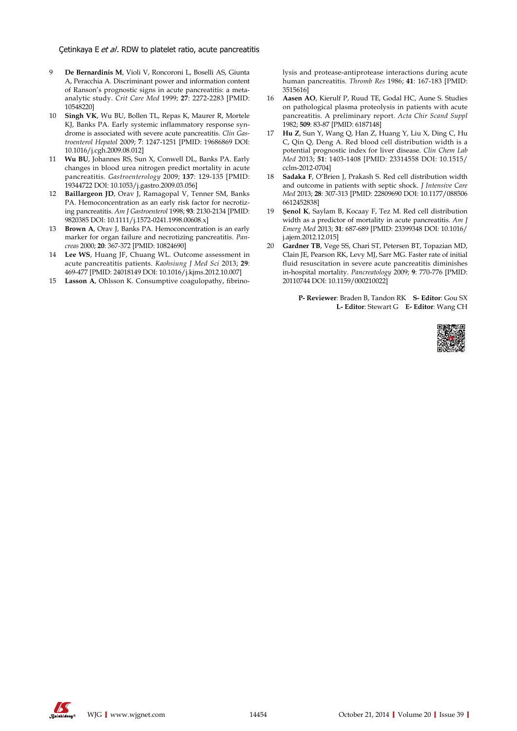- 9 **De Bernardinis M**, Violi V, Roncoroni L, Boselli AS, Giunta A, Peracchia A. Discriminant power and information content of Ranson's prognostic signs in acute pancreatitis: a metaanalytic study. *Crit Care Med* 1999; **27**: 2272-2283 [PMID: 10548220]
- 10 **Singh VK**, Wu BU, Bollen TL, Repas K, Maurer R, Mortele KJ, Banks PA. Early systemic inflammatory response syndrome is associated with severe acute pancreatitis. *Clin Gastroenterol Hepatol* 2009; **7**: 1247-1251 [PMID: 19686869 DOI: 10.1016/j.cgh.2009.08.012]
- 11 **Wu BU**, Johannes RS, Sun X, Conwell DL, Banks PA. Early changes in blood urea nitrogen predict mortality in acute pancreatitis. *Gastroenterology* 2009; **137**: 129-135 [PMID: 19344722 DOI: 10.1053/j.gastro.2009.03.056]
- 12 **Baillargeon JD**, Orav J, Ramagopal V, Tenner SM, Banks PA. Hemoconcentration as an early risk factor for necrotizing pancreatitis. *Am J Gastroenterol* 1998; **93**: 2130-2134 [PMID: 9820385 DOI: 10.1111/j.1572-0241.1998.00608.x]
- Brown A, Orav J, Banks PA. Hemoconcentration is an early marker for organ failure and necrotizing pancreatitis. *Pancreas* 2000; **20**: 367-372 [PMID: 10824690]
- 14 **Lee WS**, Huang JF, Chuang WL. Outcome assessment in acute pancreatitis patients. *Kaohsiung J Med Sci* 2013; **29**: 469-477 [PMID: 24018149 DOI: 10.1016/j.kjms.2012.10.007]
- 15 **Lasson A**, Ohlsson K. Consumptive coagulopathy, fibrino-

lysis and protease-antiprotease interactions during acute human pancreatitis. *Thromb Res* 1986; **41**: 167-183 [PMID: 3515616]

- 16 **Aasen AO**, Kierulf P, Ruud TE, Godal HC, Aune S. Studies on pathological plasma proteolysis in patients with acute pancreatitis. A preliminary report. *Acta Chir Scand Suppl* 1982; **509**: 83-87 [PMID: 6187148]
- 17 **Hu Z**, Sun Y, Wang Q, Han Z, Huang Y, Liu X, Ding C, Hu C, Qin Q, Deng A. Red blood cell distribution width is a potential prognostic index for liver disease. *Clin Chem Lab Med* 2013; **51**: 1403-1408 [PMID: 23314558 DOI: 10.1515/ cclm-2012-0704]
- 18 **Sadaka F**, O'Brien J, Prakash S. Red cell distribution width and outcome in patients with septic shock. *J Intensive Care Med* 2013; **28**: 307-313 [PMID: 22809690 DOI: 10.1177/088506 6612452838]
- 19 **Şenol K**, Saylam B, Kocaay F, Tez M. Red cell distribution width as a predictor of mortality in acute pancreatitis. *Am J Emerg Med* 2013; **31**: 687-689 [PMID: 23399348 DOI: 10.1016/ j.ajem.2012.12.015]
- Gardner TB, Vege SS, Chari ST, Petersen BT, Topazian MD, Clain JE, Pearson RK, Levy MJ, Sarr MG. Faster rate of initial fluid resuscitation in severe acute pancreatitis diminishes in-hospital mortality. *Pancreatology* 2009; **9**: 770-776 [PMID: 20110744 DOI: 10.1159/000210022]

**P- Reviewer**: Braden B, Tandon RK **S- Editor**: Gou SX **L- Editor**: Stewart G **E- Editor**: Wang CH